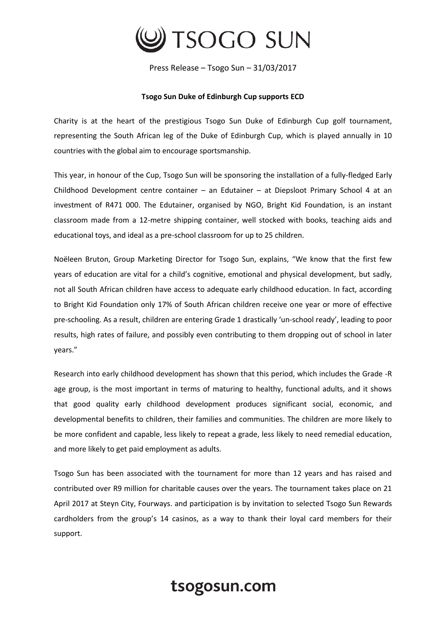

Press Release – Tsogo Sun – 31/03/2017

## **Tsogo Sun Duke of Edinburgh Cup supports ECD**

Charity is at the heart of the prestigious Tsogo Sun Duke of Edinburgh Cup golf tournament, representing the South African leg of the Duke of Edinburgh Cup, which is played annually in 10 countries with the global aim to encourage sportsmanship.

This year, in honour of the Cup, Tsogo Sun will be sponsoring the installation of a fully-fledged Early Childhood Development centre container – an Edutainer – at Diepsloot Primary School 4 at an investment of R471 000. The Edutainer, organised by NGO, Bright Kid Foundation, is an instant classroom made from a 12-metre shipping container, well stocked with books, teaching aids and educational toys, and ideal as a pre-school classroom for up to 25 children.

Noëleen Bruton, Group Marketing Director for Tsogo Sun, explains, "We know that the first few years of education are vital for a child's cognitive, emotional and physical development, but sadly, not all South African children have access to adequate early childhood education. In fact, according to Bright Kid Foundation only 17% of South African children receive one year or more of effective pre-schooling. As a result, children are entering Grade 1 drastically 'un-school ready', leading to poor results, high rates of failure, and possibly even contributing to them dropping out of school in later years."

Research into early childhood development has shown that this period, which includes the Grade -R age group, is the most important in terms of maturing to healthy, functional adults, and it shows that good quality early childhood development produces significant social, economic, and developmental benefits to children, their families and communities. The children are more likely to be more confident and capable, less likely to repeat a grade, less likely to need remedial education, and more likely to get paid employment as adults.

Tsogo Sun has been associated with the tournament for more than 12 years and has raised and contributed over R9 million for charitable causes over the years. The tournament takes place on 21 April 2017 at Steyn City, Fourways. and participation is by invitation to selected Tsogo Sun Rewards cardholders from the group's 14 casinos, as a way to thank their loyal card members for their support.

## tsogosun.com